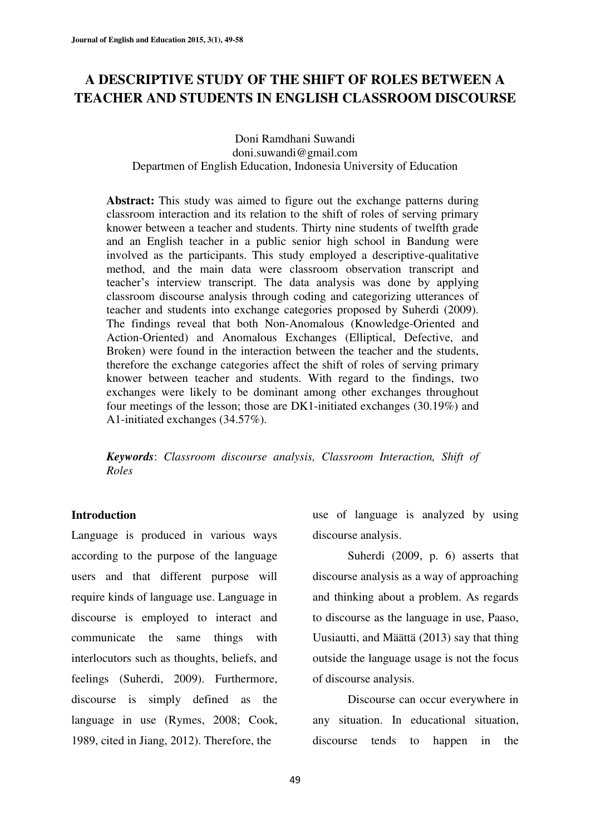# **A DESCRIPTIVE STUDY OF THE SHIFT OF ROLES BETWEEN A TEACHER AND STUDENTS IN ENGLISH CLASSROOM DISCOURSE**

Doni Ramdhani Suwandi doni.suwandi@gmail.com Departmen of English Education, Indonesia University of Education

**Abstract:** This study was aimed to figure out the exchange patterns during classroom interaction and its relation to the shift of roles of serving primary knower between a teacher and students. Thirty nine students of twelfth grade and an English teacher in a public senior high school in Bandung were involved as the participants. This study employed a descriptive-qualitative method, and the main data were classroom observation transcript and teacher's interview transcript. The data analysis was done by applying classroom discourse analysis through coding and categorizing utterances of teacher and students into exchange categories proposed by Suherdi (2009). The findings reveal that both Non-Anomalous (Knowledge-Oriented and Action-Oriented) and Anomalous Exchanges (Elliptical, Defective, and Broken) were found in the interaction between the teacher and the students, therefore the exchange categories affect the shift of roles of serving primary knower between teacher and students. With regard to the findings, two exchanges were likely to be dominant among other exchanges throughout four meetings of the lesson; those are DK1-initiated exchanges (30.19%) and A1-initiated exchanges (34.57%).

*Keywords*: *Classroom discourse analysis, Classroom Interaction, Shift of Roles*

#### **Introduction**

Language is produced in various ways according to the purpose of the language users and that different purpose will require kinds of language use. Language in discourse is employed to interact and communicate the same things with interlocutors such as thoughts, beliefs, and feelings (Suherdi, 2009). Furthermore, discourse is simply defined as the language in use (Rymes, 2008; Cook, 1989, cited in Jiang, 2012). Therefore, the

use of language is analyzed by using discourse analysis.

Suherdi (2009, p. 6) asserts that discourse analysis as a way of approaching and thinking about a problem. As regards to discourse as the language in use, Paaso, Uusiautti, and Määttä (2013) say that thing outside the language usage is not the focus of discourse analysis.

Discourse can occur everywhere in any situation. In educational situation, discourse tends to happen in the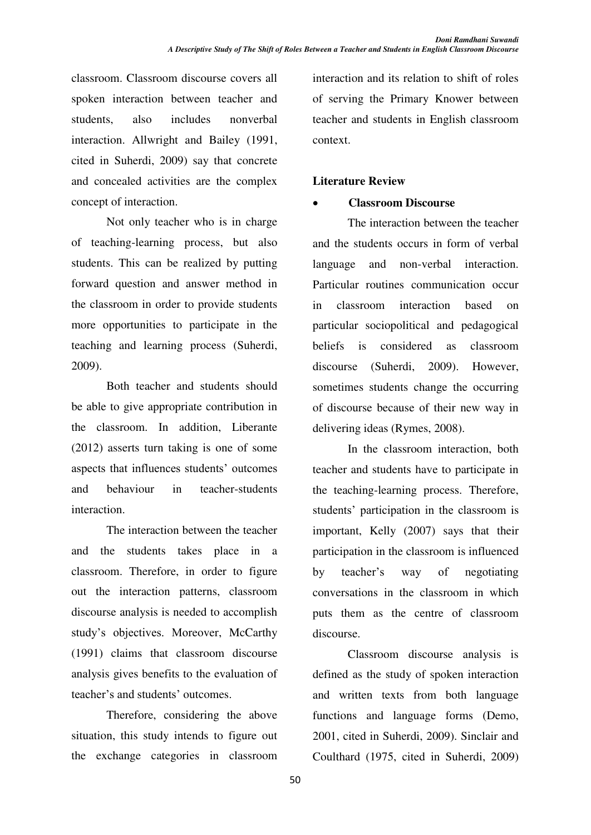classroom. Classroom discourse covers all spoken interaction between teacher and students, also includes nonverbal interaction. Allwright and Bailey (1991, cited in Suherdi, 2009) say that concrete and concealed activities are the complex concept of interaction.

Not only teacher who is in charge of teaching-learning process, but also students. This can be realized by putting forward question and answer method in the classroom in order to provide students more opportunities to participate in the teaching and learning process (Suherdi, 2009).

Both teacher and students should be able to give appropriate contribution in the classroom. In addition, Liberante (2012) asserts turn taking is one of some aspects that influences students' outcomes and behaviour in teacher-students interaction.

The interaction between the teacher and the students takes place in a classroom. Therefore, in order to figure out the interaction patterns, classroom discourse analysis is needed to accomplish study's objectives. Moreover, McCarthy (1991) claims that classroom discourse analysis gives benefits to the evaluation of teacher's and students' outcomes.

Therefore, considering the above situation, this study intends to figure out the exchange categories in classroom interaction and its relation to shift of roles of serving the Primary Knower between teacher and students in English classroom context.

## **Literature Review**

## x **Classroom Discourse**

The interaction between the teacher and the students occurs in form of verbal language and non-verbal interaction. Particular routines communication occur in classroom interaction based on particular sociopolitical and pedagogical beliefs is considered as classroom discourse (Suherdi, 2009). However, sometimes students change the occurring of discourse because of their new way in delivering ideas (Rymes, 2008).

In the classroom interaction, both teacher and students have to participate in the teaching-learning process. Therefore, students' participation in the classroom is important, Kelly (2007) says that their participation in the classroom is influenced by teacher's way of negotiating conversations in the classroom in which puts them as the centre of classroom discourse.

Classroom discourse analysis is defined as the study of spoken interaction and written texts from both language functions and language forms (Demo, 2001, cited in Suherdi, 2009). Sinclair and Coulthard (1975, cited in Suherdi, 2009)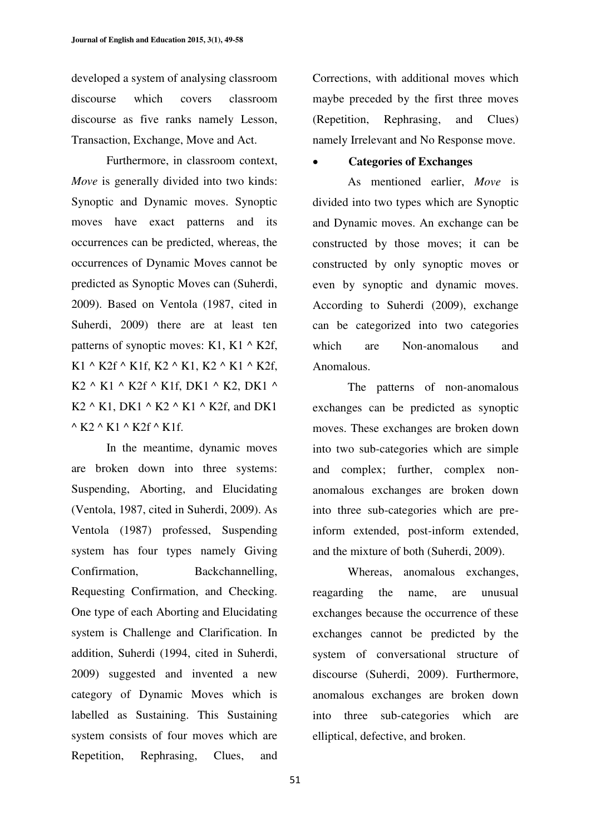developed a system of analysing classroom discourse which covers classroom discourse as five ranks namely Lesson, Transaction, Exchange, Move and Act.

Furthermore, in classroom context, *Move* is generally divided into two kinds: Synoptic and Dynamic moves. Synoptic moves have exact patterns and its occurrences can be predicted, whereas, the occurrences of Dynamic Moves cannot be predicted as Synoptic Moves can (Suherdi, 2009). Based on Ventola (1987, cited in Suherdi, 2009) there are at least ten patterns of synoptic moves: K1, K1  $\wedge$  K2f, K1 ^ K2f ^ K1f, K2 ^ K1, K2 ^ K1 ^ K2f, K2 ^ K1 ^ K2f ^ K1f, DK1 ^ K2, DK1 ^ K2  $\wedge$  K1, DK1  $\wedge$  K2  $\wedge$  K1  $\wedge$  K2f, and DK1  $\wedge$  K<sub>2</sub>  $\wedge$  K<sub>1</sub>  $\wedge$  K<sub>2f</sub>  $\wedge$  K<sub>1f</sub>.

In the meantime, dynamic moves are broken down into three systems: Suspending, Aborting, and Elucidating (Ventola, 1987, cited in Suherdi, 2009). As Ventola (1987) professed, Suspending system has four types namely Giving Confirmation, Backchannelling, Requesting Confirmation, and Checking. One type of each Aborting and Elucidating system is Challenge and Clarification. In addition, Suherdi (1994, cited in Suherdi, 2009) suggested and invented a new category of Dynamic Moves which is labelled as Sustaining. This Sustaining system consists of four moves which are Repetition, Rephrasing, Clues, and Corrections, with additional moves which maybe preceded by the first three moves (Repetition, Rephrasing, and Clues) namely Irrelevant and No Response move.

#### x **Categories of Exchanges**

As mentioned earlier, *Move* is divided into two types which are Synoptic and Dynamic moves. An exchange can be constructed by those moves; it can be constructed by only synoptic moves or even by synoptic and dynamic moves. According to Suherdi (2009), exchange can be categorized into two categories which are Non-anomalous and Anomalous.

The patterns of non-anomalous exchanges can be predicted as synoptic moves. These exchanges are broken down into two sub-categories which are simple and complex; further, complex nonanomalous exchanges are broken down into three sub-categories which are preinform extended, post-inform extended, and the mixture of both (Suherdi, 2009).

Whereas, anomalous exchanges, reagarding the name, are unusual exchanges because the occurrence of these exchanges cannot be predicted by the system of conversational structure of discourse (Suherdi, 2009). Furthermore, anomalous exchanges are broken down into three sub-categories which are elliptical, defective, and broken.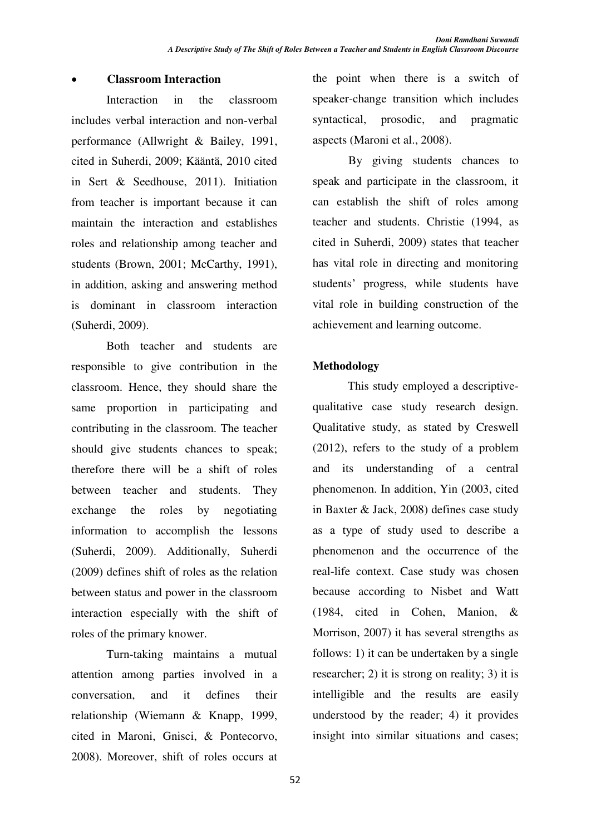## x **Classroom Interaction**

Interaction in the classroom includes verbal interaction and non-verbal performance (Allwright & Bailey, 1991, cited in Suherdi, 2009; Kääntä, 2010 cited in Sert & Seedhouse, 2011). Initiation from teacher is important because it can maintain the interaction and establishes roles and relationship among teacher and students (Brown, 2001; McCarthy, 1991), in addition, asking and answering method is dominant in classroom interaction (Suherdi, 2009).

Both teacher and students are responsible to give contribution in the classroom. Hence, they should share the same proportion in participating and contributing in the classroom. The teacher should give students chances to speak; therefore there will be a shift of roles between teacher and students. They exchange the roles by negotiating information to accomplish the lessons (Suherdi, 2009). Additionally, Suherdi (2009) defines shift of roles as the relation between status and power in the classroom interaction especially with the shift of roles of the primary knower.

Turn-taking maintains a mutual attention among parties involved in a conversation, and it defines their relationship (Wiemann & Knapp, 1999, cited in Maroni, Gnisci, & Pontecorvo, 2008). Moreover, shift of roles occurs at the point when there is a switch of speaker-change transition which includes syntactical, prosodic, and pragmatic aspects (Maroni et al., 2008).

By giving students chances to speak and participate in the classroom, it can establish the shift of roles among teacher and students. Christie (1994, as cited in Suherdi, 2009) states that teacher has vital role in directing and monitoring students' progress, while students have vital role in building construction of the achievement and learning outcome.

## **Methodology**

This study employed a descriptivequalitative case study research design. Qualitative study, as stated by Creswell (2012), refers to the study of a problem and its understanding of a central phenomenon. In addition, Yin (2003, cited in Baxter & Jack, 2008) defines case study as a type of study used to describe a phenomenon and the occurrence of the real-life context. Case study was chosen because according to Nisbet and Watt (1984, cited in Cohen, Manion, & Morrison, 2007) it has several strengths as follows: 1) it can be undertaken by a single researcher; 2) it is strong on reality; 3) it is intelligible and the results are easily understood by the reader; 4) it provides insight into similar situations and cases;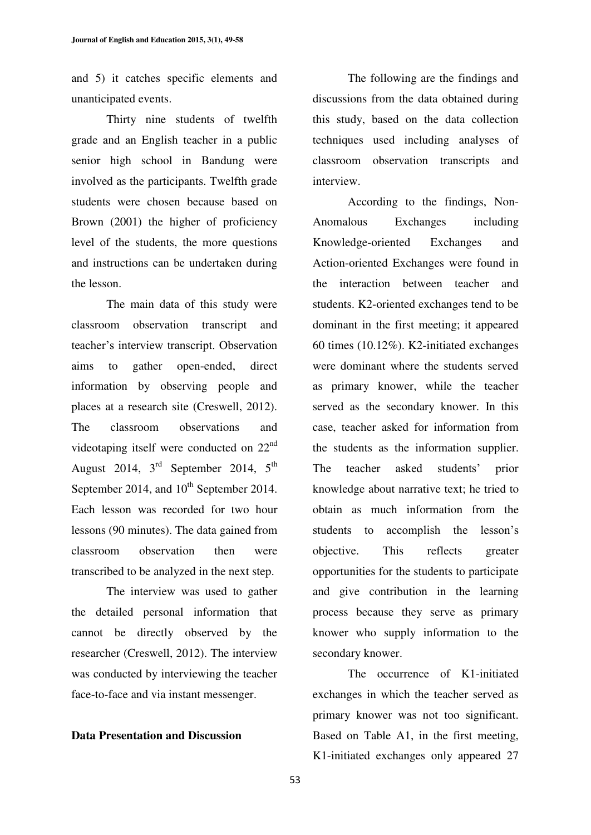and 5) it catches specific elements and unanticipated events.

Thirty nine students of twelfth grade and an English teacher in a public senior high school in Bandung were involved as the participants. Twelfth grade students were chosen because based on Brown (2001) the higher of proficiency level of the students, the more questions and instructions can be undertaken during the lesson.

The main data of this study were classroom observation transcript and teacher's interview transcript. Observation aims to gather open-ended, direct information by observing people and places at a research site (Creswell, 2012). The classroom observations and videotaping itself were conducted on 22nd August 2014,  $3<sup>rd</sup>$  September 2014,  $5<sup>th</sup>$ September 2014, and  $10^{th}$  September 2014. Each lesson was recorded for two hour lessons (90 minutes). The data gained from classroom observation then were transcribed to be analyzed in the next step.

The interview was used to gather the detailed personal information that cannot be directly observed by the researcher (Creswell, 2012). The interview was conducted by interviewing the teacher face-to-face and via instant messenger.

#### **Data Presentation and Discussion**

The following are the findings and discussions from the data obtained during this study, based on the data collection techniques used including analyses of classroom observation transcripts and interview.

According to the findings, Non-Anomalous Exchanges including Knowledge-oriented Exchanges and Action-oriented Exchanges were found in the interaction between teacher and students. K2-oriented exchanges tend to be dominant in the first meeting; it appeared 60 times (10.12%). K2-initiated exchanges were dominant where the students served as primary knower, while the teacher served as the secondary knower. In this case, teacher asked for information from the students as the information supplier. The teacher asked students' prior knowledge about narrative text; he tried to obtain as much information from the students to accomplish the lesson's objective. This reflects greater opportunities for the students to participate and give contribution in the learning process because they serve as primary knower who supply information to the secondary knower.

The occurrence of K1-initiated exchanges in which the teacher served as primary knower was not too significant. Based on Table A1, in the first meeting, K1-initiated exchanges only appeared 27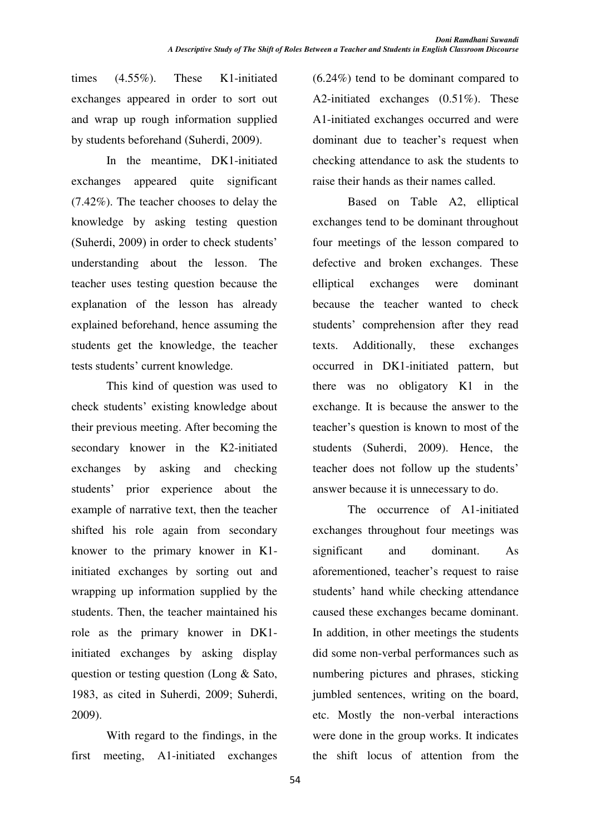times (4.55%). These K1-initiated exchanges appeared in order to sort out and wrap up rough information supplied by students beforehand (Suherdi, 2009).

In the meantime, DK1-initiated exchanges appeared quite significant (7.42%). The teacher chooses to delay the knowledge by asking testing question (Suherdi, 2009) in order to check students' understanding about the lesson. The teacher uses testing question because the explanation of the lesson has already explained beforehand, hence assuming the students get the knowledge, the teacher tests students' current knowledge.

This kind of question was used to check students' existing knowledge about their previous meeting. After becoming the secondary knower in the K2-initiated exchanges by asking and checking students' prior experience about the example of narrative text, then the teacher shifted his role again from secondary knower to the primary knower in K1 initiated exchanges by sorting out and wrapping up information supplied by the students. Then, the teacher maintained his role as the primary knower in DK1 initiated exchanges by asking display question or testing question (Long & Sato, 1983, as cited in Suherdi, 2009; Suherdi, 2009).

With regard to the findings, in the first meeting, A1-initiated exchanges (6.24%) tend to be dominant compared to A2-initiated exchanges (0.51%). These A1-initiated exchanges occurred and were dominant due to teacher's request when checking attendance to ask the students to raise their hands as their names called.

Based on Table A2, elliptical exchanges tend to be dominant throughout four meetings of the lesson compared to defective and broken exchanges. These elliptical exchanges were dominant because the teacher wanted to check students' comprehension after they read texts. Additionally, these exchanges occurred in DK1-initiated pattern, but there was no obligatory K1 in the exchange. It is because the answer to the teacher's question is known to most of the students (Suherdi, 2009). Hence, the teacher does not follow up the students' answer because it is unnecessary to do.

The occurrence of A1-initiated exchanges throughout four meetings was significant and dominant. As aforementioned, teacher's request to raise students' hand while checking attendance caused these exchanges became dominant. In addition, in other meetings the students did some non-verbal performances such as numbering pictures and phrases, sticking jumbled sentences, writing on the board, etc. Mostly the non-verbal interactions were done in the group works. It indicates the shift locus of attention from the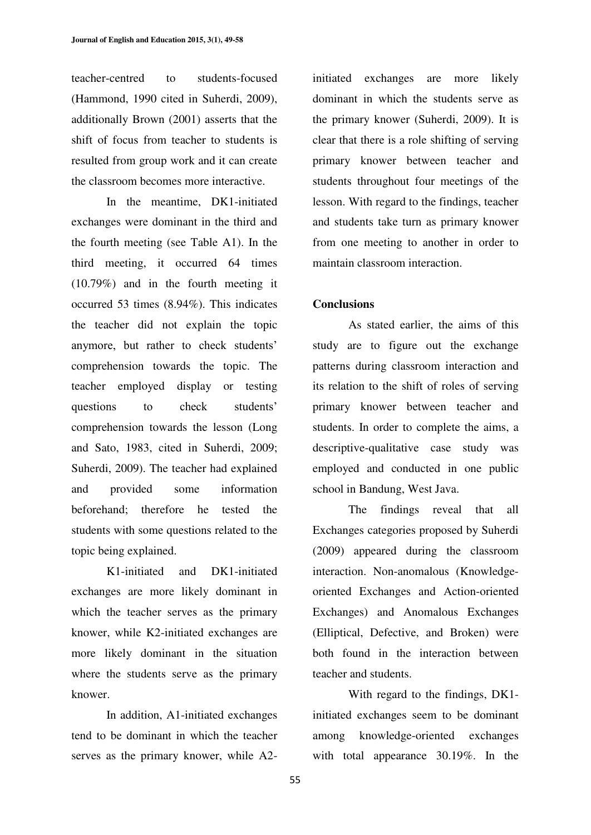teacher-centred to students-focused (Hammond, 1990 cited in Suherdi, 2009), additionally Brown (2001) asserts that the shift of focus from teacher to students is resulted from group work and it can create the classroom becomes more interactive.

In the meantime, DK1-initiated exchanges were dominant in the third and the fourth meeting (see Table A1). In the third meeting, it occurred 64 times (10.79%) and in the fourth meeting it occurred 53 times (8.94%). This indicates the teacher did not explain the topic anymore, but rather to check students' comprehension towards the topic. The teacher employed display or testing questions to check students' comprehension towards the lesson (Long and Sato, 1983, cited in Suherdi, 2009; Suherdi, 2009). The teacher had explained and provided some information beforehand; therefore he tested the students with some questions related to the topic being explained.

K1-initiated and DK1-initiated exchanges are more likely dominant in which the teacher serves as the primary knower, while K2-initiated exchanges are more likely dominant in the situation where the students serve as the primary knower.

In addition, A1-initiated exchanges tend to be dominant in which the teacher serves as the primary knower, while A2initiated exchanges are more likely dominant in which the students serve as the primary knower (Suherdi, 2009). It is clear that there is a role shifting of serving primary knower between teacher and students throughout four meetings of the lesson. With regard to the findings, teacher and students take turn as primary knower from one meeting to another in order to maintain classroom interaction.

#### **Conclusions**

As stated earlier, the aims of this study are to figure out the exchange patterns during classroom interaction and its relation to the shift of roles of serving primary knower between teacher and students. In order to complete the aims, a descriptive-qualitative case study was employed and conducted in one public school in Bandung, West Java.

The findings reveal that all Exchanges categories proposed by Suherdi (2009) appeared during the classroom interaction. Non-anomalous (Knowledgeoriented Exchanges and Action-oriented Exchanges) and Anomalous Exchanges (Elliptical, Defective, and Broken) were both found in the interaction between teacher and students.

With regard to the findings, DK1 initiated exchanges seem to be dominant among knowledge-oriented exchanges with total appearance 30.19%. In the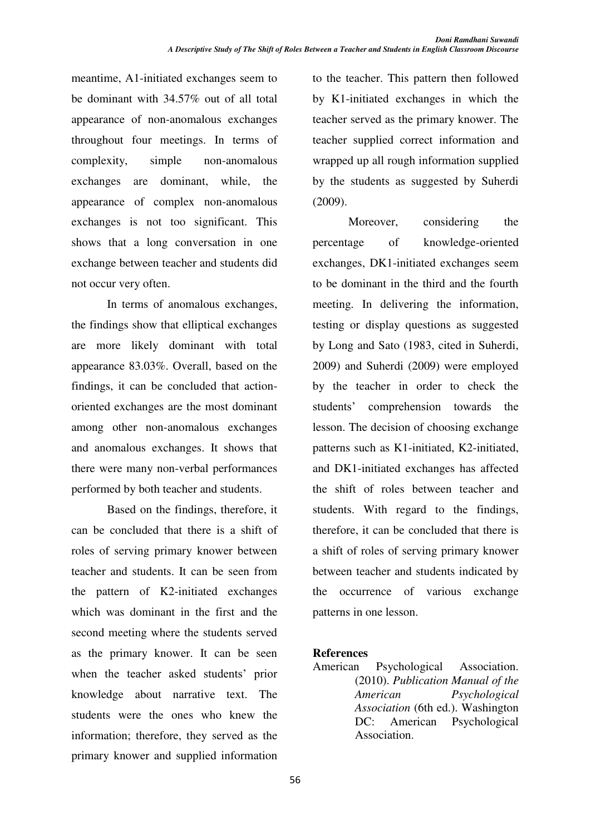meantime, A1-initiated exchanges seem to be dominant with 34.57% out of all total appearance of non-anomalous exchanges throughout four meetings. In terms of complexity, simple non-anomalous exchanges are dominant, while, the appearance of complex non-anomalous exchanges is not too significant. This shows that a long conversation in one exchange between teacher and students did not occur very often.

In terms of anomalous exchanges, the findings show that elliptical exchanges are more likely dominant with total appearance 83.03%. Overall, based on the findings, it can be concluded that actionoriented exchanges are the most dominant among other non-anomalous exchanges and anomalous exchanges. It shows that there were many non-verbal performances performed by both teacher and students.

Based on the findings, therefore, it can be concluded that there is a shift of roles of serving primary knower between teacher and students. It can be seen from the pattern of K2-initiated exchanges which was dominant in the first and the second meeting where the students served as the primary knower. It can be seen when the teacher asked students' prior knowledge about narrative text. The students were the ones who knew the information; therefore, they served as the primary knower and supplied information to the teacher. This pattern then followed by K1-initiated exchanges in which the teacher served as the primary knower. The teacher supplied correct information and wrapped up all rough information supplied by the students as suggested by Suherdi (2009).

Moreover, considering the percentage of knowledge-oriented exchanges, DK1-initiated exchanges seem to be dominant in the third and the fourth meeting. In delivering the information, testing or display questions as suggested by Long and Sato (1983, cited in Suherdi, 2009) and Suherdi (2009) were employed by the teacher in order to check the students' comprehension towards the lesson. The decision of choosing exchange patterns such as K1-initiated, K2-initiated, and DK1-initiated exchanges has affected the shift of roles between teacher and students. With regard to the findings, therefore, it can be concluded that there is a shift of roles of serving primary knower between teacher and students indicated by the occurrence of various exchange patterns in one lesson.

## **References**

American Psychological Association. (2010). *Publication Manual of the American Psychological Association* (6th ed.). Washington DC: American Psychological Association.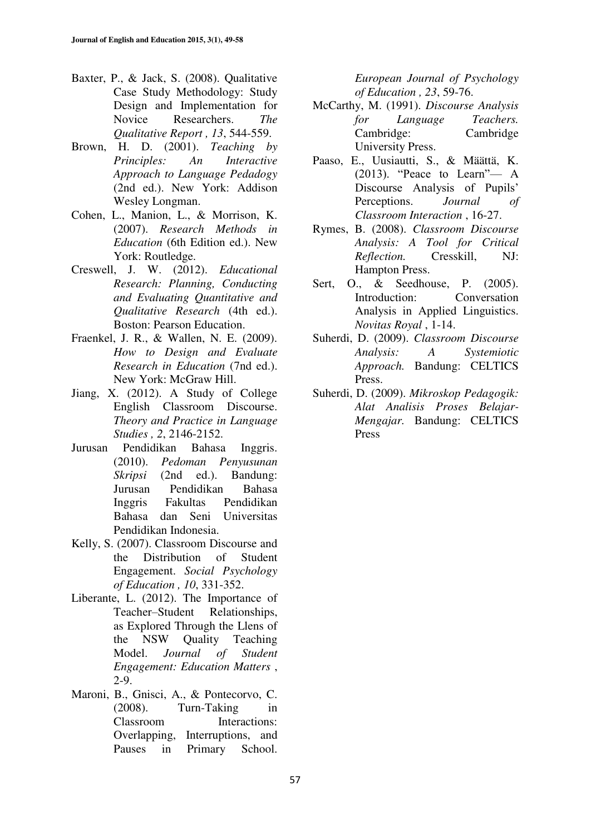- Baxter, P., & Jack, S. (2008). Qualitative Case Study Methodology: Study Design and Implementation for Novice Researchers. *The Qualitative Report , 13*, 544-559.
- Brown, H. D. (2001). *Teaching by Principles: An Interactive Approach to Language Pedadogy* (2nd ed.). New York: Addison Wesley Longman.
- Cohen, L., Manion, L., & Morrison, K. (2007). *Research Methods in Education* (6th Edition ed.). New York: Routledge.
- Creswell, J. W. (2012). *Educational Research: Planning, Conducting and Evaluating Quantitative and Qualitative Research* (4th ed.). Boston: Pearson Education.
- Fraenkel, J. R., & Wallen, N. E. (2009). *How to Design and Evaluate Research in Education* (7nd ed.). New York: McGraw Hill.
- Jiang, X. (2012). A Study of College English Classroom Discourse. *Theory and Practice in Language Studies , 2*, 2146-2152.
- Jurusan Pendidikan Bahasa Inggris. (2010). *Pedoman Penyusunan Skripsi* (2nd ed.). Bandung: Jurusan Pendidikan Bahasa Inggris Fakultas Pendidikan Bahasa dan Seni Universitas Pendidikan Indonesia.
- Kelly, S. (2007). Classroom Discourse and the Distribution of Student Engagement. *Social Psychology of Education , 10*, 331-352.
- Liberante, L. (2012). The Importance of Teacher-Student Relationships, as Explored Through the Llens of the NSW Quality Teaching Model. *Journal of Student Engagement: Education Matters* , 2-9.
- Maroni, B., Gnisci, A., & Pontecorvo, C. (2008). Turn-Taking in Classroom Interactions: Overlapping, Interruptions, and Pauses in Primary School.

*European Journal of Psychology of Education , 23*, 59-76.

- McCarthy, M. (1991). *Discourse Analysis for Language Teachers.* Cambridge: Cambridge University Press.
- Paaso, E., Uusiautti, S., & Määttä, K.  $(2013)$ . "Peace to Learn"— A Discourse Analysis of Pupils' Perceptions. *Journal of Classroom Interaction* , 16-27.
- Rymes, B. (2008). *Classroom Discourse Analysis: A Tool for Critical Reflection.* Cresskill, NJ: Hampton Press.
- Sert, O., & Seedhouse, P. (2005). Introduction: Conversation Analysis in Applied Linguistics. *Novitas Royal* , 1-14.
- Suherdi, D. (2009). *Classroom Discourse Analysis: A Systemiotic Approach.* Bandung: CELTICS Press.
- Suherdi, D. (2009). *Mikroskop Pedagogik: Alat Analisis Proses Belajar-Mengajar.* Bandung: CELTICS Press